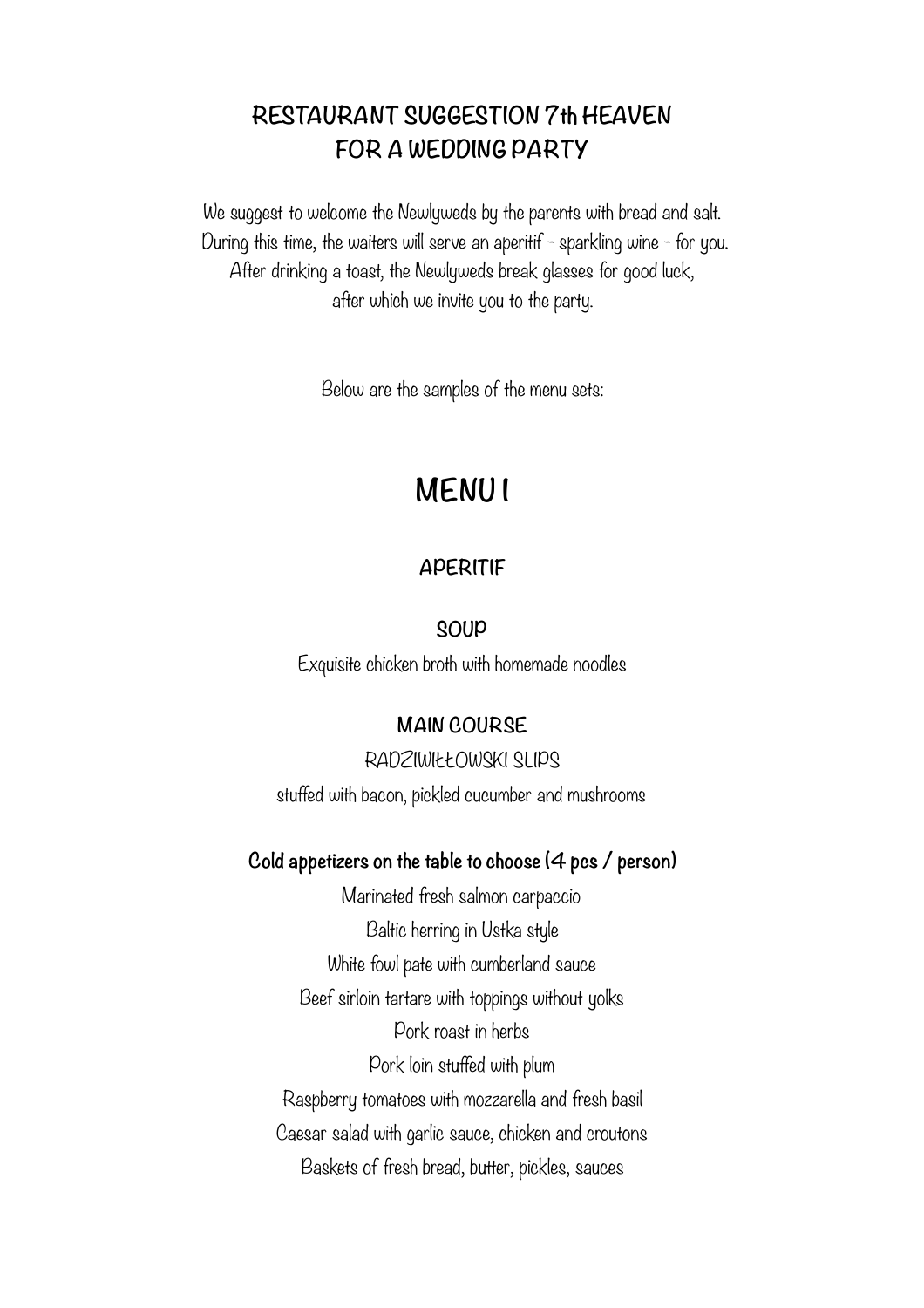# **RESTAURANT SUGGESTION 7th HEAVEN FOR A WEDDING PARTY**

We suggest to welcome the Newlyweds by the parents with bread and salt. During this time, the waiters will serve an aperitif - sparkling wine - for you. After drinking a toast, the Newlyweds break glasses for good luck, after which we invite you to the party.

Below are the samples of the menu sets:

# **MENU I**

# **APERITIF**

#### **SOUP**

Exquisite chicken broth with homemade noodles

#### **MAIN COURSE**

RADZIWIŁŁOWSKI SLIPS stuffed with bacon, pickled cucumber and mushrooms

#### **Cold appetizers on the table to choose (4 pcs / person)**

Marinated fresh salmon carpaccio Baltic herring in Ustka style White fowl pate with cumberland sauce Beef sirloin tartare with toppings without yolks Pork roast in herbs Pork loin stuffed with plum Raspberry tomatoes with mozzarella and fresh basil Caesar salad with garlic sauce, chicken and croutons Baskets of fresh bread, butter, pickles, sauces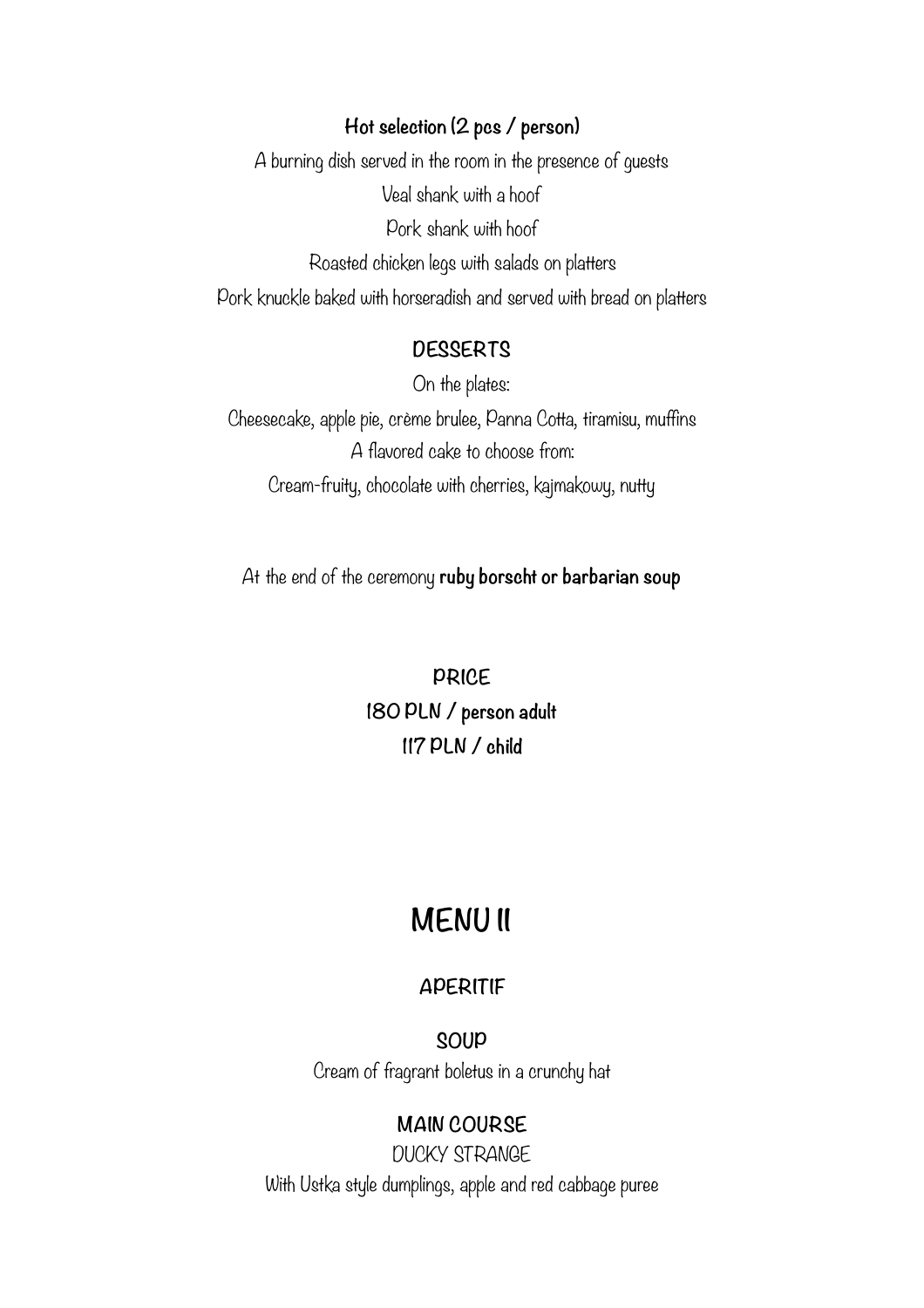#### **Hot selection (2 pcs / person)**

A burning dish served in the room in the presence of guests Veal shank with a hoof Pork shank with hoof Roasted chicken legs with salads on platters Pork knuckle baked with horseradish and served with bread on platters

# **DESSERTS**

On the plates:

Cheesecake, apple pie, crème brulee, Panna Cotta, tiramisu, muffins A flavored cake to choose from: Cream-fruity, chocolate with cherries, kajmakowy, nutty

At the end of the ceremony **ruby borscht or barbarian soup** 

**PRICE 180 PLN / person adult 117 PLN / child** 

# **MENU II**

#### **APERITIF**

**SOUP**  Cream of fragrant boletus in a crunchy hat

#### **MAIN COURSE**

DUCKY STRANGE With Ustka style dumplings, apple and red cabbage puree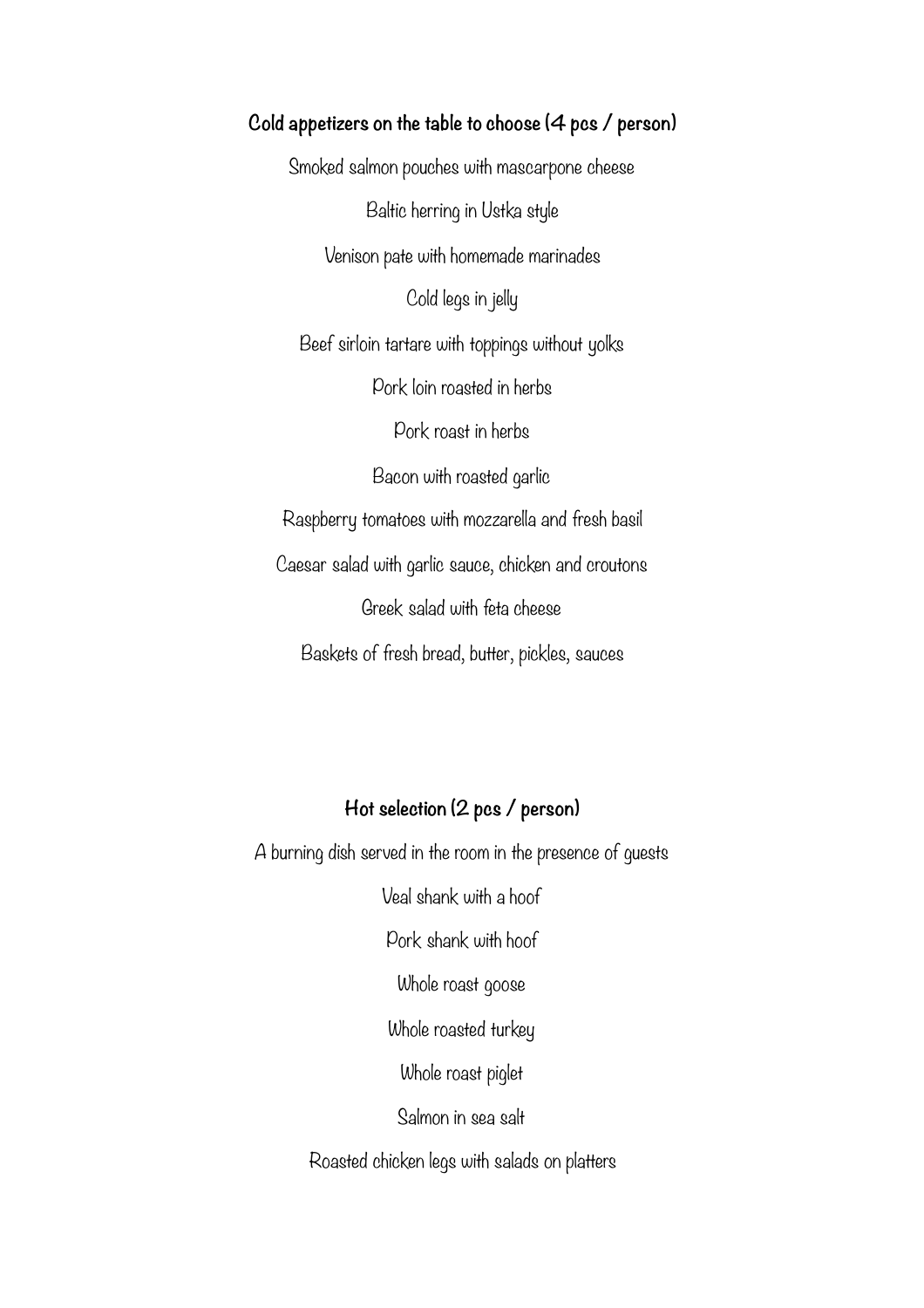**Cold appetizers on the table to choose (4 pcs / person)**  Smoked salmon pouches with mascarpone cheese Baltic herring in Ustka style Venison pate with homemade marinades Cold legs in jelly Beef sirloin tartare with toppings without yolks Pork loin roasted in herbs Pork roast in herbs Bacon with roasted garlic Raspberry tomatoes with mozzarella and fresh basil Caesar salad with garlic sauce, chicken and croutons Greek salad with feta cheese Baskets of fresh bread, butter, pickles, sauces

# **Hot selection (2 pcs / person)**

A burning dish served in the room in the presence of guests

Veal shank with a hoof

Pork shank with hoof

Whole roast goose

Whole roasted turkey

Whole roast piglet

Salmon in sea salt

Roasted chicken legs with salads on platters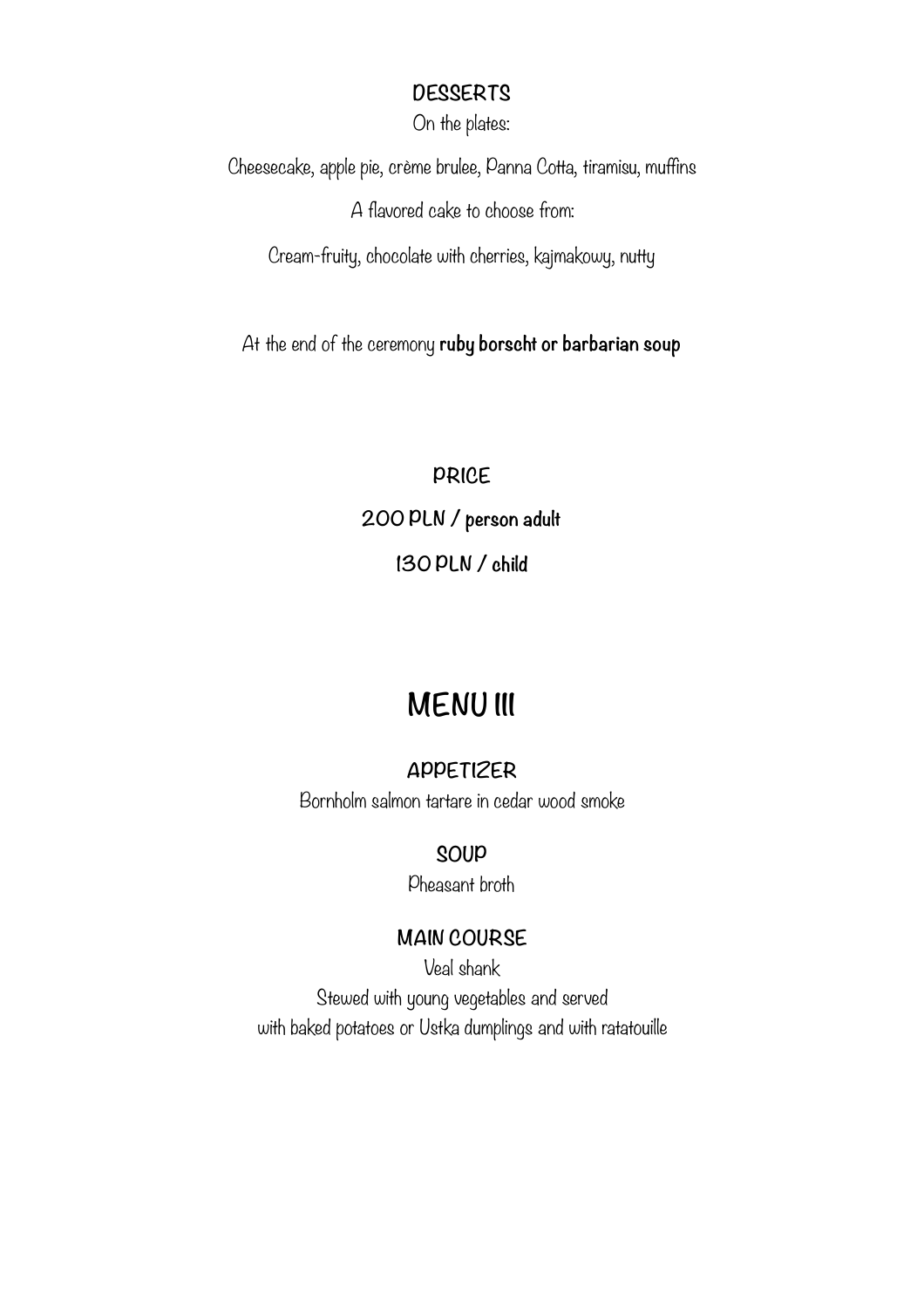### **DESSERTS**

On the plates:

Cheesecake, apple pie, crème brulee, Panna Cotta, tiramisu, muffins A flavored cake to choose from:

Cream-fruity, chocolate with cherries, kajmakowy, nutty

At the end of the ceremony **ruby borscht or barbarian soup** 

**PRICE 200 PLN / person adult 130 PLN / child** 

# **MENU III**

# **APPETIZER**

Bornholm salmon tartare in cedar wood smoke

# **SOUP**

Pheasant broth

# **MAIN COURSE**

Veal shank Stewed with young vegetables and served with baked potatoes or Ustka dumplings and with ratatouille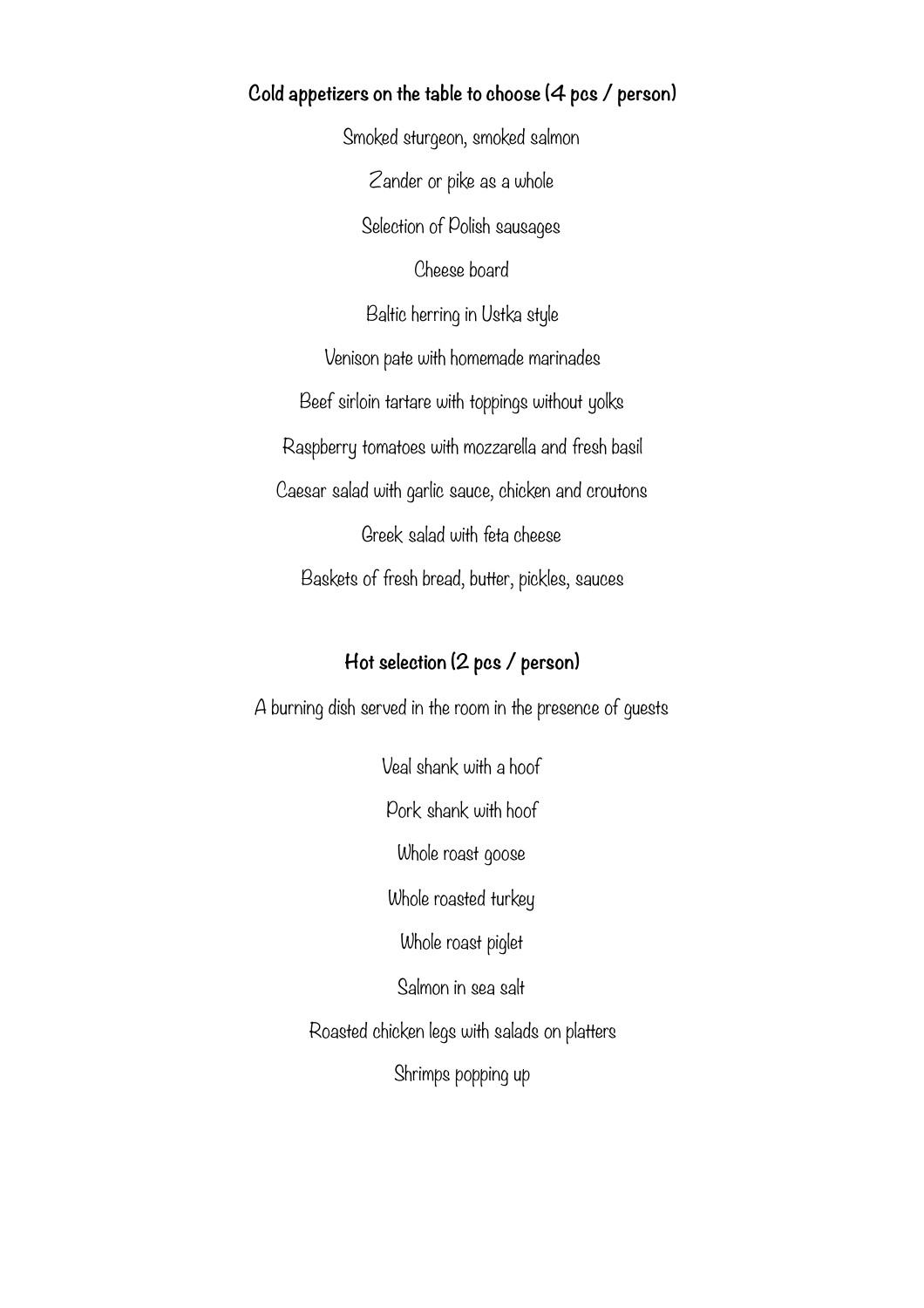#### **Cold appetizers on the table to choose (4 pcs / person)**

Smoked sturgeon, smoked salmon Zander or pike as a whole Selection of Polish sausages Cheese board Baltic herring in Ustka style Venison pate with homemade marinades Beef sirloin tartare with toppings without yolks Raspberry tomatoes with mozzarella and fresh basil Caesar salad with garlic sauce, chicken and croutons Greek salad with feta cheese Baskets of fresh bread, butter, pickles, sauces

### **Hot selection (2 pcs / person)**

A burning dish served in the room in the presence of guests

Veal shank with a hoof

Pork shank with hoof

Whole roast goose

Whole roasted turkey

Whole roast piglet

Salmon in sea salt

Roasted chicken legs with salads on platters

Shrimps popping up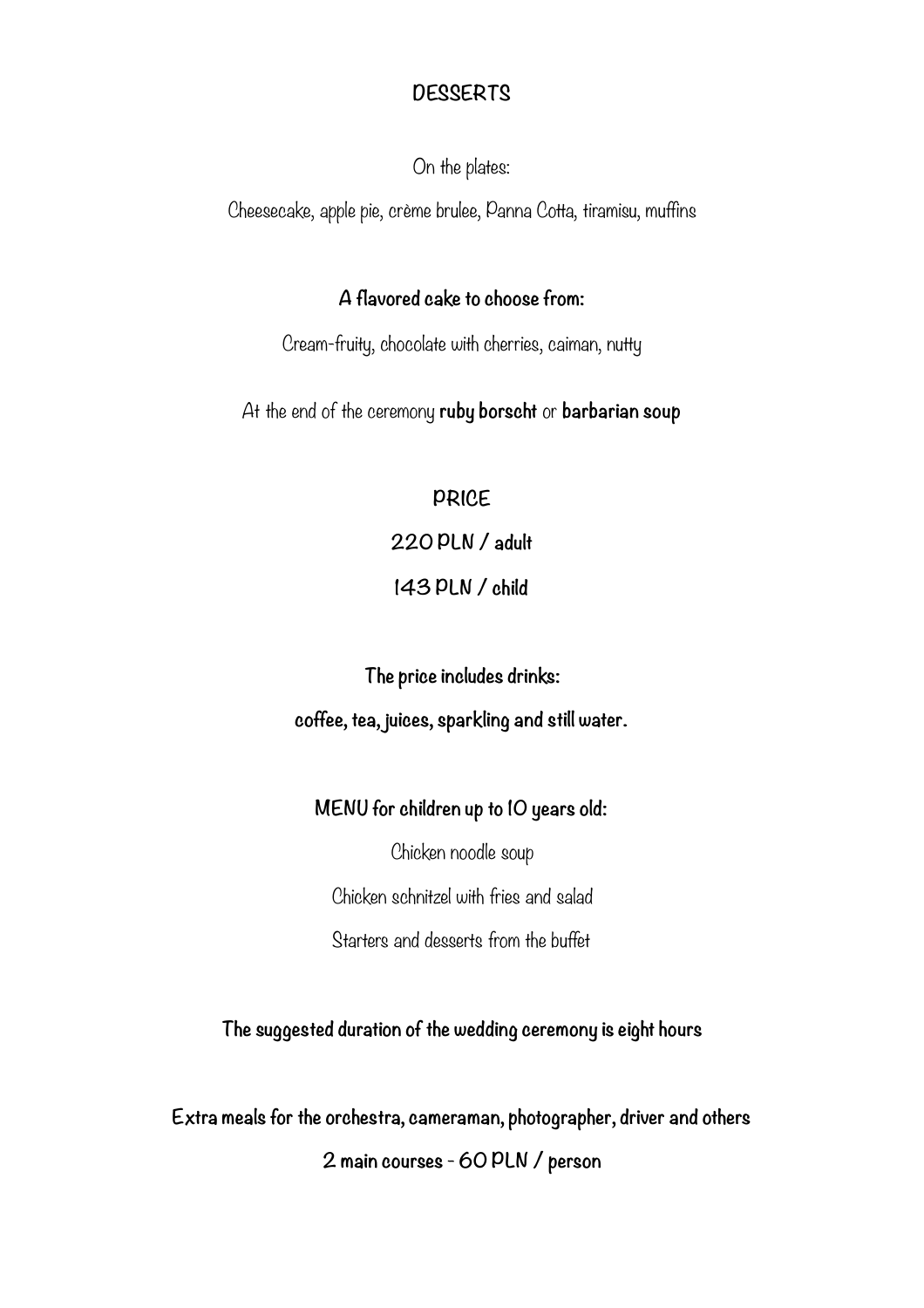# **DESSERTS**

On the plates:

Cheesecake, apple pie, crème brulee, Panna Cotta, tiramisu, muffins

#### **A flavored cake to choose from:**

Cream-fruity, chocolate with cherries, caiman, nutty

At the end of the ceremony **ruby borscht** or **barbarian soup**

**PRICE 220 PLN / adult** 

**143 PLN / child** 

**The price includes drinks: coffee, tea, juices, sparkling and still water.**

# **MENU for children up to 10 years old:**

Chicken noodle soup Chicken schnitzel with fries and salad Starters and desserts from the buffet

**The suggested duration of the wedding ceremony is eight hours** 

**Extra meals for the orchestra, cameraman, photographer, driver and others 2 main courses - 60 PLN / person**